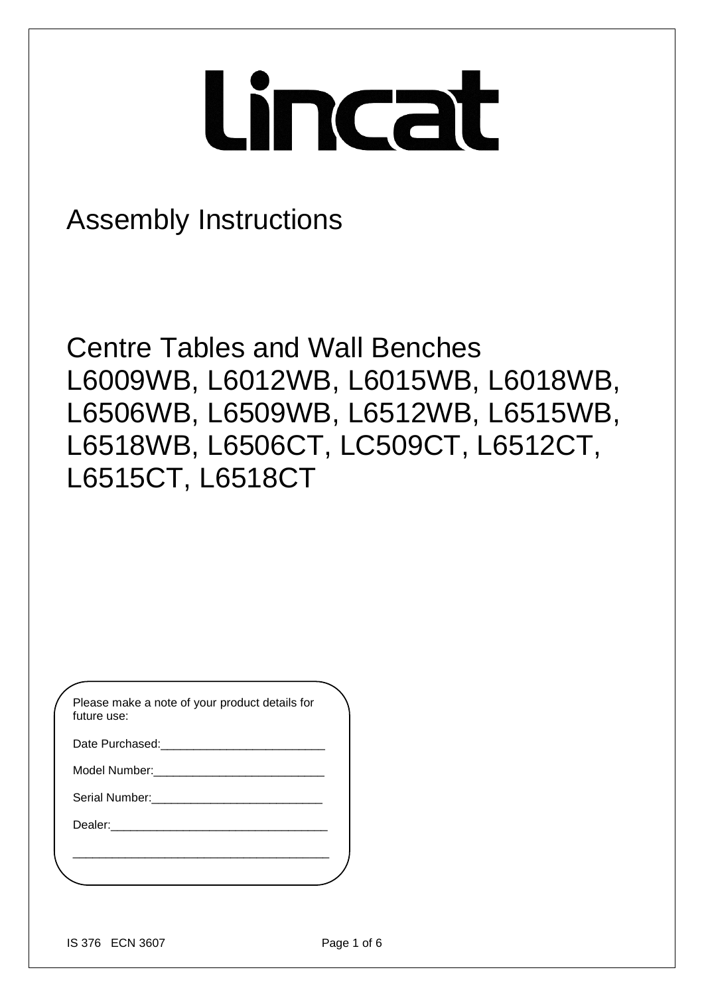# Lincat

## Assembly Instructions

Centre Tables and Wall Benches L6009WB, L6012WB, L6015WB, L6018WB, L6506WB, L6509WB, L6512WB, L6515WB, L6518WB, L6506CT, LC509CT, L6512CT, L6515CT, L6518CT

| Please make a note of your product details for<br>future use: |
|---------------------------------------------------------------|
| Date Purchased:                                               |
| Model Number:                                                 |
| Serial Number:                                                |

\_\_\_\_\_\_\_\_\_\_\_\_\_\_\_\_\_\_\_\_\_\_\_\_\_\_\_\_\_\_\_\_\_\_\_\_\_\_\_

Dealer: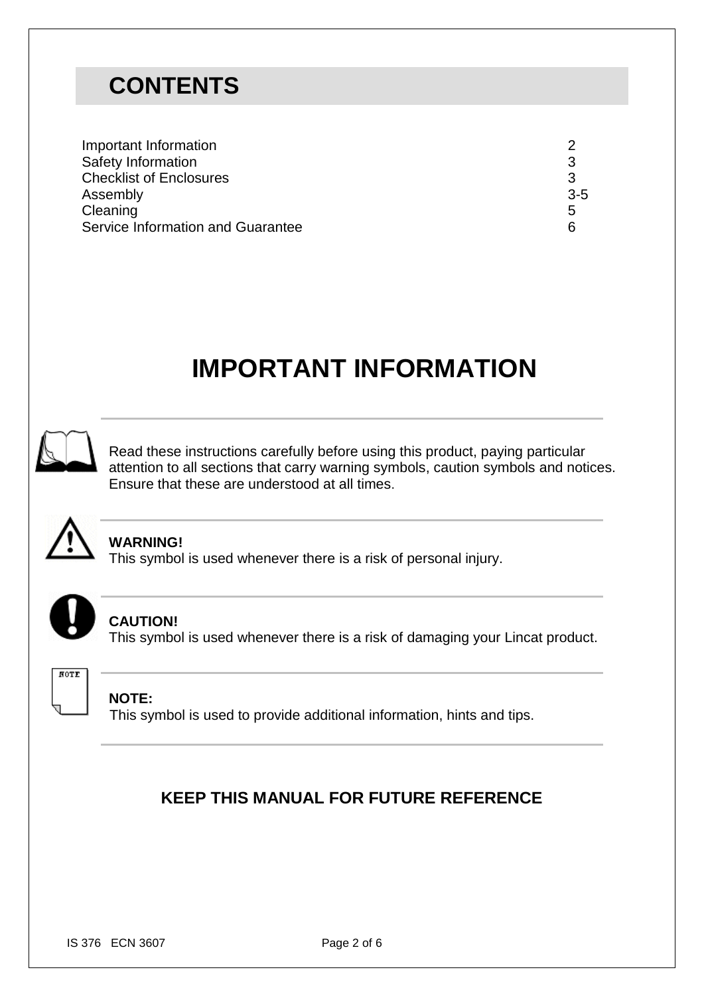## **CONTENTS**

| Important Information             |         |
|-----------------------------------|---------|
| Safety Information                |         |
| <b>Checklist of Enclosures</b>    |         |
| Assembly                          | $3 - 5$ |
| Cleaning                          | 5       |
| Service Information and Guarantee | 6       |

# **IMPORTANT INFORMATION**



Read these instructions carefully before using this product, paying particular attention to all sections that carry warning symbols, caution symbols and notices. Ensure that these are understood at all times.



#### **WARNING!**

This symbol is used whenever there is a risk of personal injury.



#### **CAUTION!**

This symbol is used whenever there is a risk of damaging your Lincat product.



#### **NOTE:**

This symbol is used to provide additional information, hints and tips.

### **KEEP THIS MANUAL FOR FUTURE REFERENCE**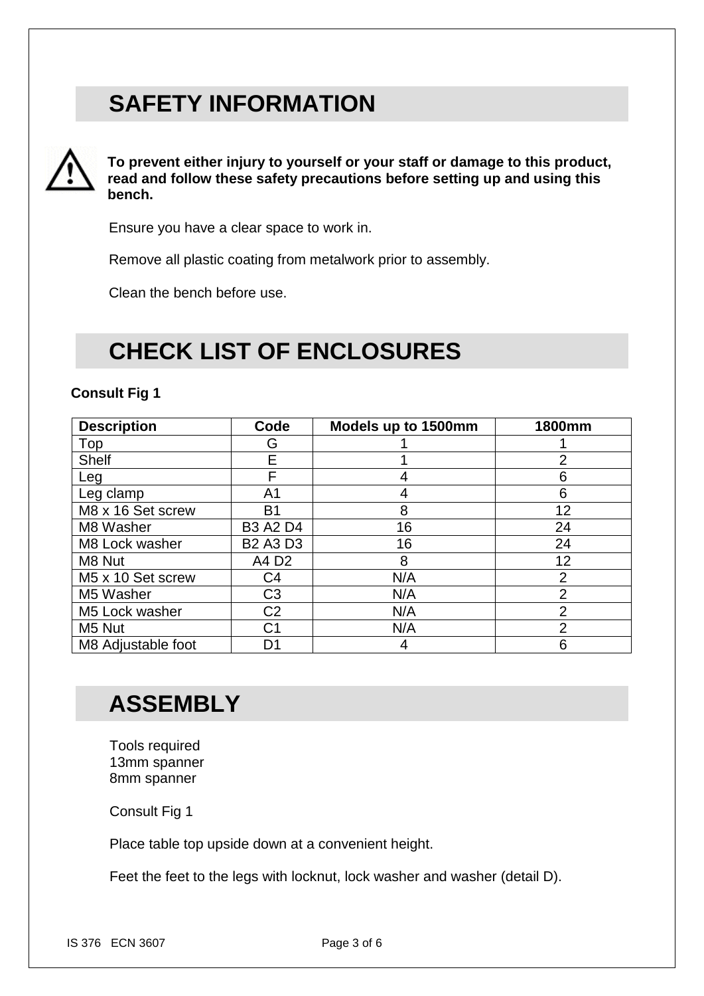## **SAFETY INFORMATION**



**To prevent either injury to yourself or your staff or damage to this product, read and follow these safety precautions before setting up and using this bench.**

Ensure you have a clear space to work in.

Remove all plastic coating from metalwork prior to assembly.

Clean the bench before use.

## **CHECK LIST OF ENCLOSURES**

#### **Consult Fig 1**

| <b>Description</b> | Code            | Models up to 1500mm | <b>1800mm</b>  |
|--------------------|-----------------|---------------------|----------------|
| Top                | G               |                     |                |
| <b>Shelf</b>       | E               |                     | $\overline{2}$ |
| Leg                | F               | 4                   | 6              |
| Leg clamp          | A <sub>1</sub>  | 4                   | 6              |
| M8 x 16 Set screw  | B <sub>1</sub>  | 8                   | 12             |
| M8 Washer          | <b>B3 A2 D4</b> | 16                  | 24             |
| M8 Lock washer     | <b>B2 A3 D3</b> | 16                  | 24             |
| M8 Nut             | A4 D2           | 8                   | 12             |
| M5 x 10 Set screw  | C <sub>4</sub>  | N/A                 | $\overline{2}$ |
| M5 Washer          | C <sub>3</sub>  | N/A                 | $\overline{2}$ |
| M5 Lock washer     | C <sub>2</sub>  | N/A                 | $\overline{2}$ |
| M5 Nut             | C1              | N/A                 | $\overline{2}$ |
| M8 Adjustable foot | D1              | 4                   | 6              |

## **ASSEMBLY**

Tools required 13mm spanner 8mm spanner

Consult Fig 1

Place table top upside down at a convenient height.

Feet the feet to the legs with locknut, lock washer and washer (detail D).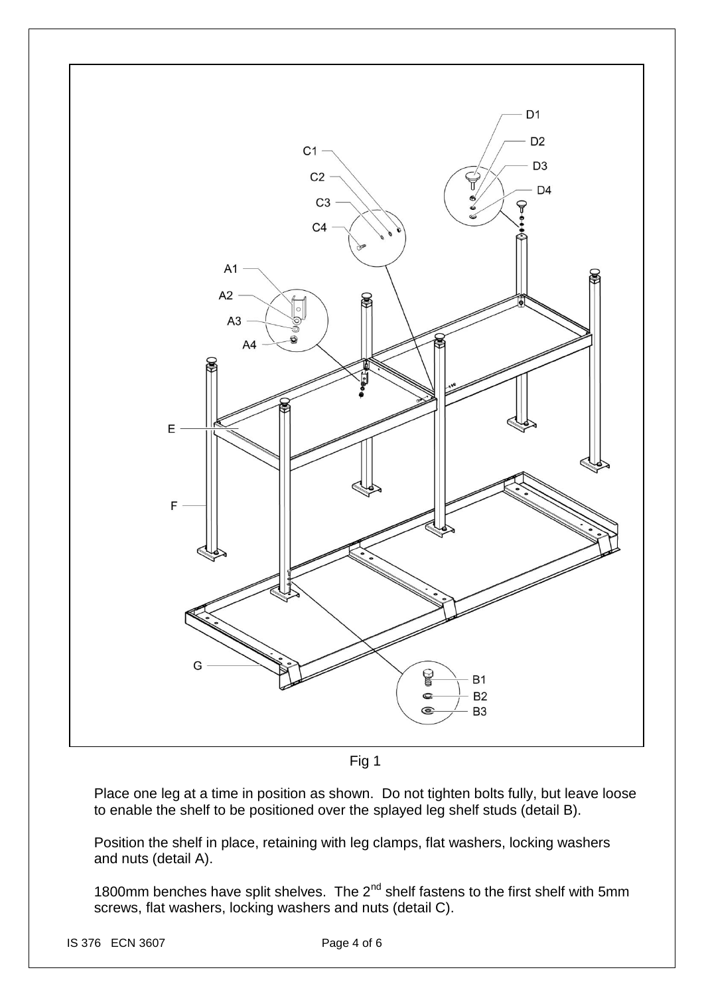

Fig 1

Place one leg at a time in position as shown. Do not tighten bolts fully, but leave loose to enable the shelf to be positioned over the splayed leg shelf studs (detail B).

Position the shelf in place, retaining with leg clamps, flat washers, locking washers and nuts (detail A).

1800mm benches have split shelves. The  $2^{nd}$  shelf fastens to the first shelf with 5mm screws, flat washers, locking washers and nuts (detail C).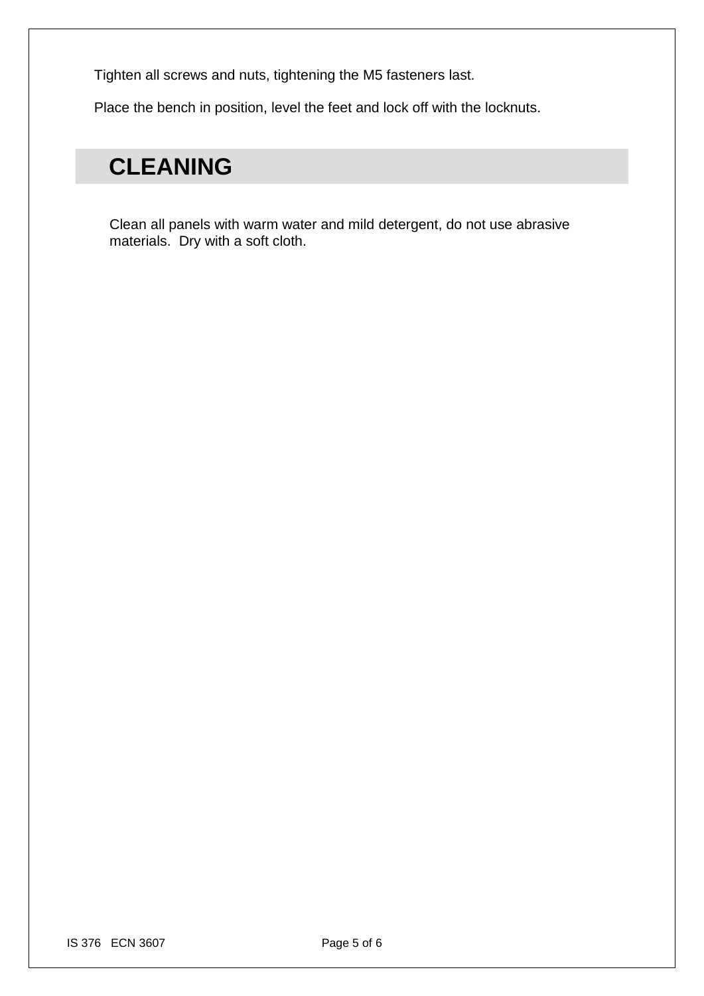Tighten all screws and nuts, tightening the M5 fasteners last.

Place the bench in position, level the feet and lock off with the locknuts.

## **CLEANING**

Clean all panels with warm water and mild detergent, do not use abrasive materials. Dry with a soft cloth.